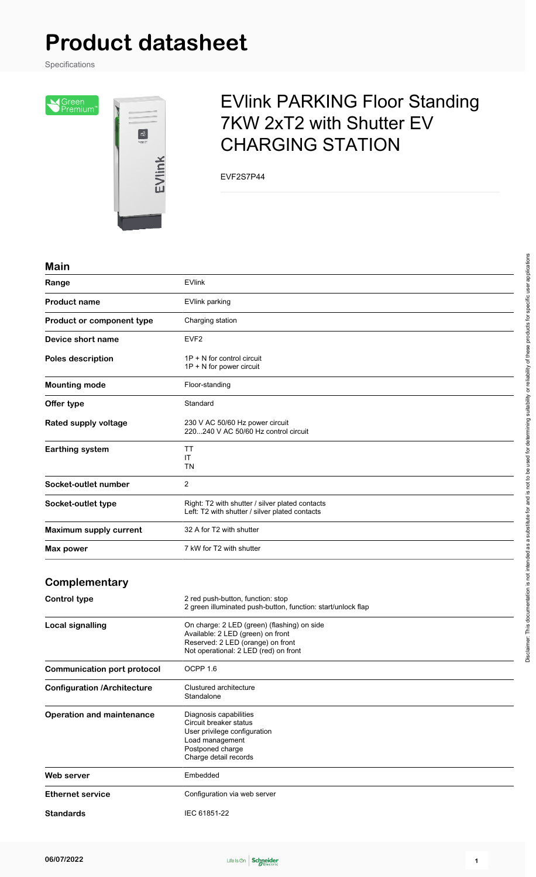# **Product datasheet**

Specifications

Sureen<br>Seremium<sup>®</sup>



## EVlink PARKING Floor Standing 7KW 2xT2 with Shutter EV CHARGING STATION

EVF2S7P44

#### **Main**

| Range                              | <b>EVlink</b>                                                                                                                                                  |
|------------------------------------|----------------------------------------------------------------------------------------------------------------------------------------------------------------|
| <b>Product name</b>                | EVlink parking                                                                                                                                                 |
| Product or component type          | Charging station                                                                                                                                               |
| Device short name                  | EVF <sub>2</sub>                                                                                                                                               |
| Poles description                  | $1P + N$ for control circuit<br>1P + N for power circuit                                                                                                       |
| <b>Mounting mode</b>               | Floor-standing                                                                                                                                                 |
| Offer type                         | Standard                                                                                                                                                       |
| Rated supply voltage               | 230 V AC 50/60 Hz power circuit<br>220240 V AC 50/60 Hz control circuit                                                                                        |
| <b>Earthing system</b>             | ΤT<br>ΙT<br>TN                                                                                                                                                 |
| Socket-outlet number               | 2                                                                                                                                                              |
| Socket-outlet type                 | Right: T2 with shutter / silver plated contacts<br>Left: T2 with shutter / silver plated contacts                                                              |
| Maximum supply current             | 32 A for T2 with shutter                                                                                                                                       |
| Max power                          | 7 kW for T2 with shutter                                                                                                                                       |
| Complementary                      |                                                                                                                                                                |
| <b>Control type</b>                | 2 red push-button, function: stop<br>2 green illuminated push-button, function: start/unlock flap                                                              |
| <b>Local signalling</b>            | On charge: 2 LED (green) (flashing) on side<br>Available: 2 LED (green) on front<br>Reserved: 2 LED (orange) on front<br>Not operational: 2 LED (red) on front |
| <b>Communication port protocol</b> | OCPP 1.6                                                                                                                                                       |
| <b>Configuration /Architecture</b> | Clustured architecture<br>Standalone                                                                                                                           |
| <b>Operation and maintenance</b>   | Diagnosis capabilities<br>Circuit breaker status<br>User privilege configuration<br>Load management<br>Postponed charge<br>Charge detail records               |

Web server **Embedded Ethernet service** Configuration via web server

**Standards** IEC 61851-22